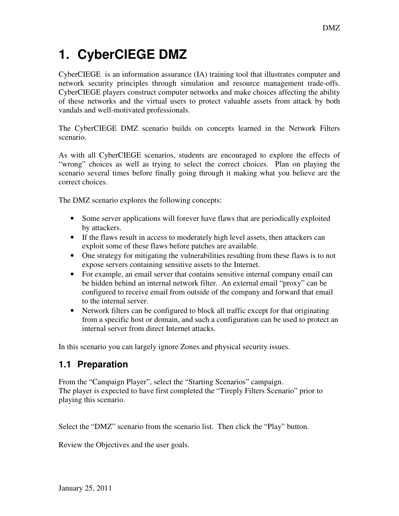# **1. CyberCIEGE DMZ**

CyberCIEGE is an information assurance (IA) training tool that illustrates computer and network security principles through simulation and resource management trade-offs. CyberCIEGE players construct computer networks and make choices affecting the ability of these networks and the virtual users to protect valuable assets from attack by both vandals and well-motivated professionals.

The CyberCIEGE DMZ scenario builds on concepts learned in the Network Filters scenario.

As with all CyberCIEGE scenarios, students are encouraged to explore the effects of "wrong" choices as well as trying to select the correct choices. Plan on playing the scenario several times before finally going through it making what you believe are the correct choices.

The DMZ scenario explores the following concepts:

- Some server applications will forever have flaws that are periodically exploited by attackers.
- If the flaws result in access to moderately high level assets, then attackers can exploit some of these flaws before patches are available.
- One strategy for mitigating the vulnerabilities resulting from these flaws is to not expose servers containing sensitive assets to the Internet.
- For example, an email server that contains sensitive internal company email can be hidden behind an internal network filter. An external email "proxy" can be configured to receive email from outside of the company and forward that email to the internal server.
- Network filters can be configured to block all traffic except for that originating from a specific host or domain, and such a configuration can be used to protect an internal server from direct Internet attacks.

In this scenario you can largely ignore Zones and physical security issues.

## **1.1 Preparation**

From the "Campaign Player", select the "Starting Scenarios" campaign. The player is expected to have first completed the "Tireply Filters Scenario" prior to playing this scenario.

Select the "DMZ" scenario from the scenario list. Then click the "Play" button.

Review the Objectives and the user goals.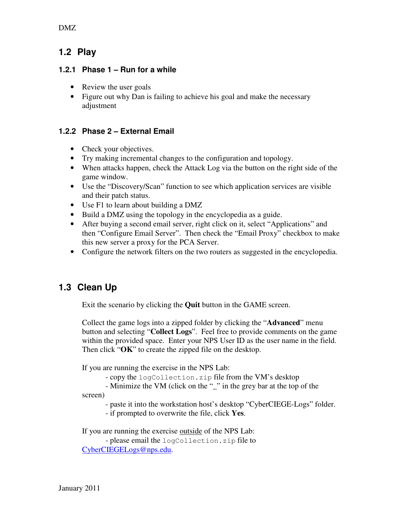DMZ

### **1.2 Play**

#### **1.2.1 Phase 1 – Run for a while**

- Review the user goals
- Figure out why Dan is failing to achieve his goal and make the necessary adjustment

#### **1.2.2 Phase 2 – External Email**

- Check your objectives.
- Try making incremental changes to the configuration and topology.
- When attacks happen, check the Attack Log via the button on the right side of the game window.
- Use the "Discovery/Scan" function to see which application services are visible and their patch status.
- Use F1 to learn about building a DMZ
- Build a DMZ using the topology in the encyclopedia as a guide.
- After buying a second email server, right click on it, select "Applications" and then "Configure Email Server". Then check the "Email Proxy" checkbox to make this new server a proxy for the PCA Server.
- Configure the network filters on the two routers as suggested in the encyclopedia.

## **1.3 Clean Up**

Exit the scenario by clicking the **Quit** button in the GAME screen.

Collect the game logs into a zipped folder by clicking the "**Advanced**" menu button and selecting "**Collect Logs**". Feel free to provide comments on the game within the provided space. Enter your NPS User ID as the user name in the field. Then click "**OK**" to create the zipped file on the desktop.

If you are running the exercise in the NPS Lab:

- copy the logCollection.zip file from the VM's desktop

- Minimize the VM (click on the "\_" in the grey bar at the top of the

screen)

- paste it into the workstation host's desktop "CyberCIEGE-Logs" folder.

- if prompted to overwrite the file, click **Yes**.

If you are running the exercise outside of the NPS Lab:

 - please email the logCollection.zip file to CyberCIEGELogs@nps.edu.